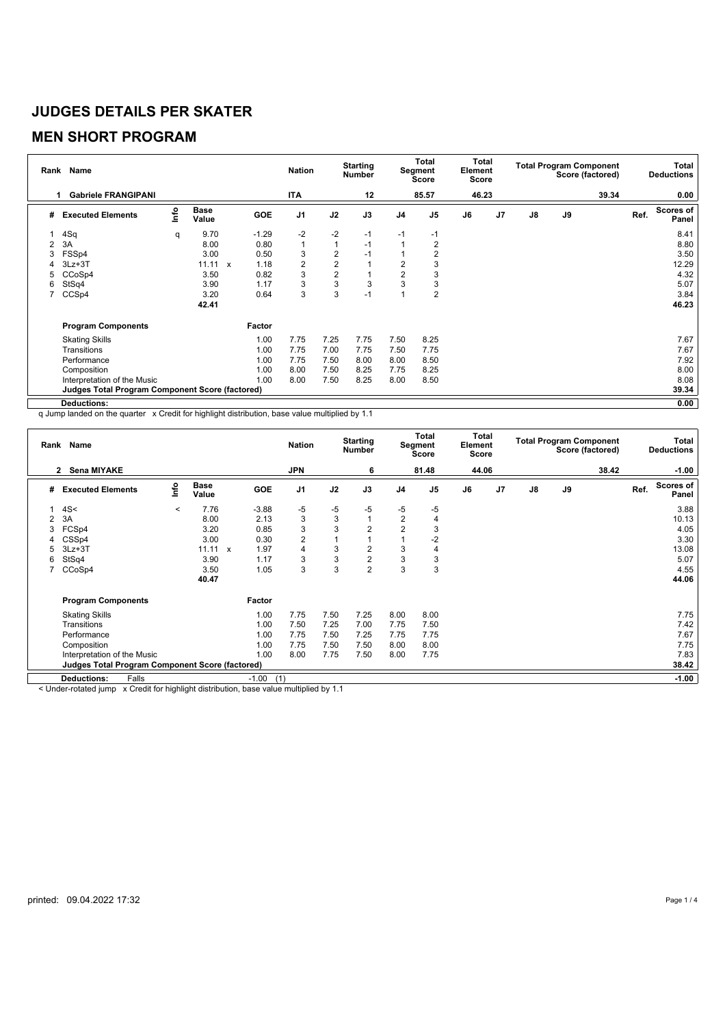### **MEN SHORT PROGRAM**

| Rank | <b>Name</b>                                            | <b>Nation</b> |                      | <b>Starting</b><br>Number |                | Total<br>Segment<br><b>Score</b> |      | Total<br>Element<br><b>Score</b> | <b>Total Program Component</b><br>Score (factored) |       |                | <b>Total</b><br><b>Deductions</b> |    |       |      |                    |
|------|--------------------------------------------------------|---------------|----------------------|---------------------------|----------------|----------------------------------|------|----------------------------------|----------------------------------------------------|-------|----------------|-----------------------------------|----|-------|------|--------------------|
|      | <b>Gabriele FRANGIPANI</b>                             |               |                      |                           | ITA            |                                  | 12   |                                  | 85.57                                              | 46.23 |                |                                   |    | 39.34 |      | 0.00               |
| #    | <b>Executed Elements</b>                               | lnfo          | <b>Base</b><br>Value | <b>GOE</b>                | J <sub>1</sub> | J2                               | J3   | J <sub>4</sub>                   | J <sub>5</sub>                                     | J6    | J <sub>7</sub> | $\mathsf{J}8$                     | J9 |       | Ref. | Scores of<br>Panel |
|      | 4Sq                                                    | q             | 9.70                 | $-1.29$                   | $-2$           | $-2$                             | $-1$ | $-1$                             | $-1$                                               |       |                |                                   |    |       |      | 8.41               |
| 2    | 3A                                                     |               | 8.00                 | 0.80                      | $\mathbf{1}$   | $\mathbf{1}$                     | $-1$ | $\overline{ }$                   | 2                                                  |       |                |                                   |    |       |      | 8.80               |
| 3    | FSSp4                                                  |               | 3.00                 | 0.50                      | 3              | $\overline{2}$                   | $-1$ |                                  | 2                                                  |       |                |                                   |    |       |      | 3.50               |
|      | $3Lz + 3T$                                             |               | 11.11                | 1.18<br>$\mathsf{x}$      | $\overline{2}$ | $\overline{2}$                   |      | $\overline{2}$                   | 3                                                  |       |                |                                   |    |       |      | 12.29              |
| 5    | CCoSp4                                                 |               | 3.50                 | 0.82                      | 3              | $\overline{2}$                   |      | $\overline{2}$                   | 3                                                  |       |                |                                   |    |       |      | 4.32               |
| 6    | StSq4                                                  |               | 3.90                 | 1.17                      | 3              | 3                                | 3    | 3                                | 3                                                  |       |                |                                   |    |       |      | 5.07               |
|      | CCSp4                                                  |               | 3.20                 | 0.64                      | 3              | 3                                | $-1$ | $\overline{A}$                   | $\overline{2}$                                     |       |                |                                   |    |       |      | 3.84               |
|      |                                                        |               | 42.41                |                           |                |                                  |      |                                  |                                                    |       |                |                                   |    |       |      | 46.23              |
|      | <b>Program Components</b>                              |               |                      | Factor                    |                |                                  |      |                                  |                                                    |       |                |                                   |    |       |      |                    |
|      | <b>Skating Skills</b>                                  |               |                      | 1.00                      | 7.75           | 7.25                             | 7.75 | 7.50                             | 8.25                                               |       |                |                                   |    |       |      | 7.67               |
|      | Transitions                                            |               |                      | 1.00                      | 7.75           | 7.00                             | 7.75 | 7.50                             | 7.75                                               |       |                |                                   |    |       |      | 7.67               |
|      | Performance                                            |               |                      | 1.00                      | 7.75           | 7.50                             | 8.00 | 8.00                             | 8.50                                               |       |                |                                   |    |       |      | 7.92               |
|      | Composition                                            |               |                      | 1.00                      | 8.00           | 7.50                             | 8.25 | 7.75                             | 8.25                                               |       |                |                                   |    |       |      | 8.00               |
|      | Interpretation of the Music                            |               |                      | 1.00                      | 8.00           | 7.50                             | 8.25 | 8.00                             | 8.50                                               |       |                |                                   |    |       |      | 8.08               |
|      | <b>Judges Total Program Component Score (factored)</b> |               |                      |                           |                |                                  |      |                                  |                                                    |       |                |                                   |    |       |      | 39.34              |
|      | <b>Deductions:</b>                                     |               |                      |                           |                |                                  |      |                                  |                                                    |       |                |                                   |    |       |      | 0.00               |

q Jump landed on the quarter x Credit for highlight distribution, base value multiplied by 1.1

| Rank Name                          |                                                        |         |                      |              |                | <b>Nation</b>  | <b>Starting</b><br><b>Number</b> |                |                | Total<br>Segment<br>Score |       | Total<br>Element<br>Score | <b>Total Program Component</b><br>Score (factored) |    |       | Total<br><b>Deductions</b> |                           |  |
|------------------------------------|--------------------------------------------------------|---------|----------------------|--------------|----------------|----------------|----------------------------------|----------------|----------------|---------------------------|-------|---------------------------|----------------------------------------------------|----|-------|----------------------------|---------------------------|--|
| <b>Sena MIYAKE</b><br>$\mathbf{2}$ |                                                        |         |                      |              |                | <b>JPN</b>     |                                  | 6              |                | 81.48                     | 44.06 |                           |                                                    |    | 38.42 |                            | $-1.00$                   |  |
| #                                  | <b>Executed Elements</b>                               | lnfo    | <b>Base</b><br>Value |              | GOE            | J <sub>1</sub> | J2                               | J3             | J4             | J <sub>5</sub>            | J6    | J7                        | $\mathsf{J}8$                                      | J9 |       | Ref.                       | <b>Scores of</b><br>Panel |  |
|                                    | 4S<                                                    | $\prec$ | 7.76                 |              | $-3.88$        | -5             | $-5$                             | $-5$           | $-5$           | $-5$                      |       |                           |                                                    |    |       |                            | 3.88                      |  |
| 2                                  | 3A                                                     |         | 8.00                 |              | 2.13           | 3              | 3                                |                | $\sqrt{2}$     |                           |       |                           |                                                    |    |       |                            | 10.13                     |  |
| 3                                  | FCSp4                                                  |         | 3.20                 |              | 0.85           | 3              | 3                                | 2              | $\overline{c}$ | 3                         |       |                           |                                                    |    |       |                            | 4.05                      |  |
| 4                                  | CSSp4                                                  |         | 3.00                 |              | 0.30           | $\overline{2}$ |                                  |                |                | $-2$                      |       |                           |                                                    |    |       |                            | 3.30                      |  |
| 5                                  | $3Lz + 3T$                                             |         | 11.11                | $\mathbf{x}$ | 1.97           | 4              | 3                                | 2              | 3              | 4                         |       |                           |                                                    |    |       |                            | 13.08                     |  |
| 6                                  | StSq4                                                  |         | 3.90                 |              | 1.17           | 3              | 3                                | $\overline{2}$ | 3              | 3                         |       |                           |                                                    |    |       |                            | 5.07                      |  |
|                                    | CCoSp4                                                 |         | 3.50                 |              | 1.05           | 3              | 3                                | $\overline{2}$ | 3              | 3                         |       |                           |                                                    |    |       |                            | 4.55                      |  |
|                                    |                                                        |         | 40.47                |              |                |                |                                  |                |                |                           |       |                           |                                                    |    |       |                            | 44.06                     |  |
|                                    | <b>Program Components</b>                              |         |                      |              | Factor         |                |                                  |                |                |                           |       |                           |                                                    |    |       |                            |                           |  |
|                                    | <b>Skating Skills</b>                                  |         |                      |              | 1.00           | 7.75           | 7.50                             | 7.25           | 8.00           | 8.00                      |       |                           |                                                    |    |       |                            | 7.75                      |  |
|                                    | Transitions                                            |         |                      |              | 1.00           | 7.50           | 7.25                             | 7.00           | 7.75           | 7.50                      |       |                           |                                                    |    |       |                            | 7.42                      |  |
|                                    | Performance                                            |         |                      |              | 1.00           | 7.75           | 7.50                             | 7.25           | 7.75           | 7.75                      |       |                           |                                                    |    |       |                            | 7.67                      |  |
|                                    | Composition                                            |         |                      |              | 1.00           | 7.75           | 7.50                             | 7.50           | 8.00           | 8.00                      |       |                           |                                                    |    |       |                            | 7.75                      |  |
|                                    | Interpretation of the Music                            |         |                      |              | 1.00           | 8.00           | 7.75                             | 7.50           | 8.00           | 7.75                      |       |                           |                                                    |    |       |                            | 7.83                      |  |
|                                    | <b>Judges Total Program Component Score (factored)</b> |         |                      |              |                |                |                                  |                |                |                           |       |                           |                                                    |    |       |                            | 38.42                     |  |
|                                    | Falls<br><b>Deductions:</b>                            |         |                      |              | $-1.00$<br>(1) |                |                                  |                |                |                           |       |                           |                                                    |    |       |                            | $-1.00$                   |  |

< Under-rotated jump x Credit for highlight distribution, base value multiplied by 1.1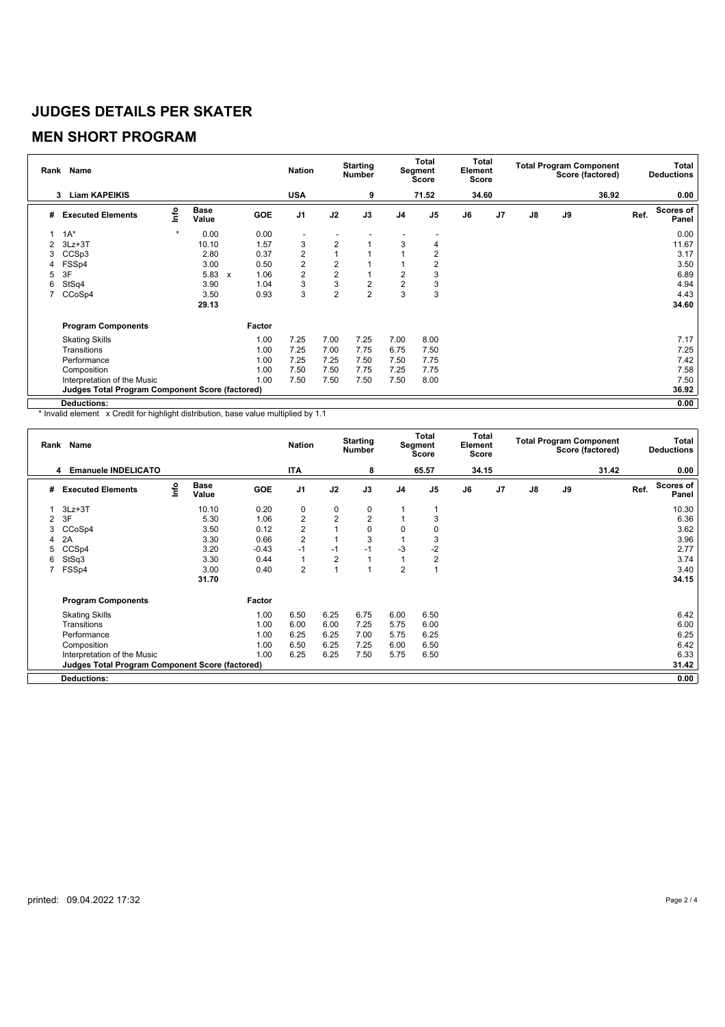### **MEN SHORT PROGRAM**

| Rank Name |                                                        |         |                      |                           |        | <b>Nation</b>           | <b>Starting</b><br><b>Number</b> |                         |                | <b>Total</b><br>Segment<br>Score |       | Total<br>Element<br><b>Score</b> | <b>Total Program Component</b><br>Score (factored) |    |       | Total<br><b>Deductions</b> |                    |  |
|-----------|--------------------------------------------------------|---------|----------------------|---------------------------|--------|-------------------------|----------------------------------|-------------------------|----------------|----------------------------------|-------|----------------------------------|----------------------------------------------------|----|-------|----------------------------|--------------------|--|
|           | <b>Liam KAPEIKIS</b><br>3                              |         |                      |                           |        | <b>USA</b>              |                                  | 9                       |                | 71.52                            | 34.60 |                                  |                                                    |    | 36.92 |                            | 0.00               |  |
| #         | <b>Executed Elements</b>                               | Info    | <b>Base</b><br>Value |                           | GOE    | J <sub>1</sub>          | J2                               | J3                      | J <sub>4</sub> | J <sub>5</sub>                   | J6    | J7                               | $\mathsf{J}8$                                      | J9 |       | Ref.                       | Scores of<br>Panel |  |
|           | $1A^*$                                                 | $\star$ | 0.00                 |                           | 0.00   |                         |                                  |                         |                |                                  |       |                                  |                                                    |    |       |                            | 0.00               |  |
| 2         | $3Lz + 3T$                                             |         | 10.10                |                           | 1.57   | 3                       | 2                                |                         | 3              | 4                                |       |                                  |                                                    |    |       |                            | 11.67              |  |
| 3         | CCS <sub>p3</sub>                                      |         | 2.80                 |                           | 0.37   | $\overline{\mathbf{c}}$ | 1                                |                         |                | 2                                |       |                                  |                                                    |    |       |                            | 3.17               |  |
| 4         | FSSp4                                                  |         | 3.00                 |                           | 0.50   | $\overline{c}$          | $\overline{2}$                   |                         |                | 2                                |       |                                  |                                                    |    |       |                            | 3.50               |  |
| 5         | 3F                                                     |         | 5.83                 | $\boldsymbol{\mathsf{x}}$ | 1.06   | $\overline{\mathbf{c}}$ | $\mathbf 2$                      |                         | 2              | 3                                |       |                                  |                                                    |    |       |                            | 6.89               |  |
| 6         | StSq4                                                  |         | 3.90                 |                           | 1.04   | 3                       | 3                                | $\overline{\mathbf{c}}$ | $\overline{2}$ | 3                                |       |                                  |                                                    |    |       |                            | 4.94               |  |
|           | CCoSp4                                                 |         | 3.50                 |                           | 0.93   | 3                       | $\overline{2}$                   | $\overline{2}$          | 3              | 3                                |       |                                  |                                                    |    |       |                            | 4.43               |  |
|           |                                                        |         | 29.13                |                           |        |                         |                                  |                         |                |                                  |       |                                  |                                                    |    |       |                            | 34.60              |  |
|           | <b>Program Components</b>                              |         |                      |                           | Factor |                         |                                  |                         |                |                                  |       |                                  |                                                    |    |       |                            |                    |  |
|           | <b>Skating Skills</b>                                  |         |                      |                           | 1.00   | 7.25                    | 7.00                             | 7.25                    | 7.00           | 8.00                             |       |                                  |                                                    |    |       |                            | 7.17               |  |
|           | Transitions                                            |         |                      |                           | 1.00   | 7.25                    | 7.00                             | 7.75                    | 6.75           | 7.50                             |       |                                  |                                                    |    |       |                            | 7.25               |  |
|           | Performance                                            |         |                      |                           | 1.00   | 7.25                    | 7.25                             | 7.50                    | 7.50           | 7.75                             |       |                                  |                                                    |    |       |                            | 7.42               |  |
|           | Composition                                            |         |                      |                           | 1.00   | 7.50                    | 7.50                             | 7.75                    | 7.25           | 7.75                             |       |                                  |                                                    |    |       |                            | 7.58               |  |
|           | Interpretation of the Music                            |         |                      |                           | 1.00   | 7.50                    | 7.50                             | 7.50                    | 7.50           | 8.00                             |       |                                  |                                                    |    |       |                            | 7.50               |  |
|           | <b>Judges Total Program Component Score (factored)</b> |         |                      |                           |        |                         |                                  |                         |                |                                  |       |                                  |                                                    |    |       |                            | 36.92              |  |
|           | Deductions:                                            |         |                      |                           |        |                         |                                  |                         |                |                                  |       |                                  |                                                    |    |       |                            | 0.00               |  |

\* Invalid element x Credit for highlight distribution, base value multiplied by 1.1

| Rank Name |                                                        |      |                      |         |                | <b>Starting</b><br><b>Nation</b><br><b>Number</b> |      |                | Total<br>Segment<br><b>Score</b> |       | Total<br>Element<br><b>Score</b> |    | <b>Total Program Component</b><br>Score (factored) |       |      | Total<br><b>Deductions</b> |
|-----------|--------------------------------------------------------|------|----------------------|---------|----------------|---------------------------------------------------|------|----------------|----------------------------------|-------|----------------------------------|----|----------------------------------------------------|-------|------|----------------------------|
|           | <b>Emanuele INDELICATO</b><br>4                        |      |                      |         | <b>ITA</b>     |                                                   | 8    |                | 65.57                            | 34.15 |                                  |    |                                                    | 31.42 |      | 0.00                       |
| #         | <b>Executed Elements</b>                               | info | <b>Base</b><br>Value | GOE     | J <sub>1</sub> | J2                                                | J3   | J <sub>4</sub> | J <sub>5</sub>                   | J6    | J7                               | J8 | J9                                                 |       | Ref. | <b>Scores of</b><br>Panel  |
|           | $3Lz + 3T$                                             |      | 10.10                | 0.20    | 0              | $\mathbf 0$                                       | 0    |                |                                  |       |                                  |    |                                                    |       |      | 10.30                      |
| 2         | 3F                                                     |      | 5.30                 | 1.06    | $\overline{c}$ | $\overline{2}$                                    | 2    |                | 3                                |       |                                  |    |                                                    |       |      | 6.36                       |
| 3         | CCoSp4                                                 |      | 3.50                 | 0.12    | $\overline{c}$ |                                                   | 0    | 0              |                                  |       |                                  |    |                                                    |       |      | 3.62                       |
| 4         | 2A                                                     |      | 3.30                 | 0.66    | $\overline{2}$ |                                                   | 3    |                | 3                                |       |                                  |    |                                                    |       |      | 3.96                       |
| 5         | CCSp4                                                  |      | 3.20                 | $-0.43$ | $-1$           | $-1$                                              | $-1$ | -3             | $-2$                             |       |                                  |    |                                                    |       |      | 2.77                       |
| 6         | StSq3                                                  |      | 3.30                 | 0.44    | $\mathbf{1}$   | 2                                                 |      |                | $\overline{2}$                   |       |                                  |    |                                                    |       |      | 3.74                       |
|           | FSSp4                                                  |      | 3.00                 | 0.40    | $\overline{2}$ |                                                   |      | $\overline{2}$ |                                  |       |                                  |    |                                                    |       |      | 3.40                       |
|           |                                                        |      | 31.70                |         |                |                                                   |      |                |                                  |       |                                  |    |                                                    |       |      | 34.15                      |
|           | <b>Program Components</b>                              |      |                      | Factor  |                |                                                   |      |                |                                  |       |                                  |    |                                                    |       |      |                            |
|           | <b>Skating Skills</b>                                  |      |                      | 1.00    | 6.50           | 6.25                                              | 6.75 | 6.00           | 6.50                             |       |                                  |    |                                                    |       |      | 6.42                       |
|           | Transitions                                            |      |                      | 1.00    | 6.00           | 6.00                                              | 7.25 | 5.75           | 6.00                             |       |                                  |    |                                                    |       |      | 6.00                       |
|           | Performance                                            |      |                      | 1.00    | 6.25           | 6.25                                              | 7.00 | 5.75           | 6.25                             |       |                                  |    |                                                    |       |      | 6.25                       |
|           | Composition                                            |      |                      | 1.00    | 6.50           | 6.25                                              | 7.25 | 6.00           | 6.50                             |       |                                  |    |                                                    |       |      | 6.42                       |
|           | Interpretation of the Music                            |      |                      | 1.00    | 6.25           | 6.25                                              | 7.50 | 5.75           | 6.50                             |       |                                  |    |                                                    |       |      | 6.33                       |
|           | <b>Judges Total Program Component Score (factored)</b> |      |                      |         |                |                                                   |      |                |                                  |       |                                  |    |                                                    |       |      | 31.42                      |
|           | <b>Deductions:</b>                                     |      |                      |         |                |                                                   |      |                |                                  |       |                                  |    |                                                    |       |      | 0.00                       |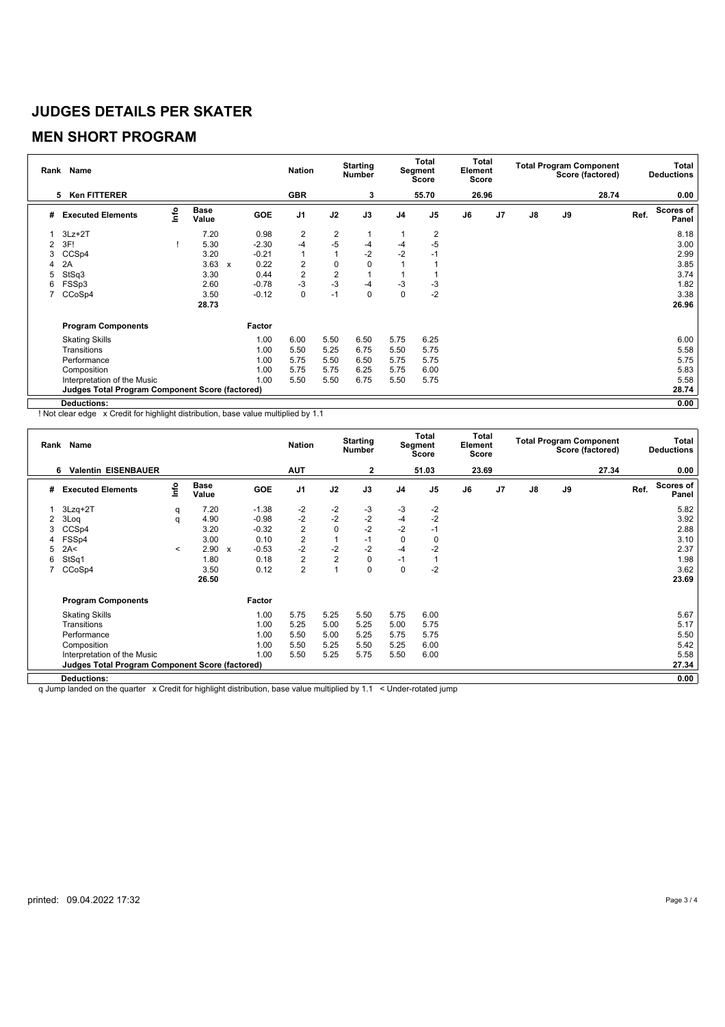## **MEN SHORT PROGRAM**

| Rank Name                |                                                 |      |                      |                           |            | <b>Nation</b>  |                         | <b>Starting</b><br>Number |                | Total<br>Segment<br>Score |    | Total<br>Element<br>Score |               | <b>Total Program Component</b><br>Score (factored) | Total<br><b>Deductions</b> |      |                           |
|--------------------------|-------------------------------------------------|------|----------------------|---------------------------|------------|----------------|-------------------------|---------------------------|----------------|---------------------------|----|---------------------------|---------------|----------------------------------------------------|----------------------------|------|---------------------------|
| <b>Ken FITTERER</b><br>5 |                                                 |      |                      |                           | <b>GBR</b> |                | 3                       |                           | 55.70          | 26.96                     |    |                           |               | 28.74                                              |                            | 0.00 |                           |
| #                        | <b>Executed Elements</b>                        | lnfo | <b>Base</b><br>Value |                           | <b>GOE</b> | J <sub>1</sub> | J2                      | J3                        | J <sub>4</sub> | J <sub>5</sub>            | J6 | J <sub>7</sub>            | $\mathsf{J}8$ | J9                                                 |                            | Ref. | <b>Scores of</b><br>Panel |
|                          | $3Lz + 2T$                                      |      | 7.20                 |                           | 0.98       | $\overline{2}$ | $\overline{c}$          |                           |                | 2                         |    |                           |               |                                                    |                            |      | 8.18                      |
|                          | 3F!                                             |      | 5.30                 |                           | $-2.30$    | $-4$           | $-5$                    | $-4$                      | $-4$           | $-5$                      |    |                           |               |                                                    |                            |      | 3.00                      |
|                          | CCS <sub>p4</sub>                               |      | 3.20                 |                           | $-0.21$    | $\mathbf{1}$   |                         | $-2$                      | $-2$           | -1                        |    |                           |               |                                                    |                            |      | 2.99                      |
| 4                        | 2A                                              |      | 3.63                 | $\boldsymbol{\mathsf{x}}$ | 0.22       | 2              | 0                       | 0                         |                |                           |    |                           |               |                                                    |                            |      | 3.85                      |
| 5                        | StSq3                                           |      | 3.30                 |                           | 0.44       | $\overline{2}$ | $\overline{\mathbf{c}}$ |                           |                |                           |    |                           |               |                                                    |                            |      | 3.74                      |
| 6                        | FSSp3                                           |      | 2.60                 |                           | $-0.78$    | $-3$           | $-3$                    | $-4$                      | -3             | -3                        |    |                           |               |                                                    |                            |      | 1.82                      |
|                          | CCoSp4                                          |      | 3.50                 |                           | $-0.12$    | $\pmb{0}$      | $-1$                    | 0                         | $\mathbf 0$    | $-2$                      |    |                           |               |                                                    |                            |      | 3.38                      |
|                          |                                                 |      | 28.73                |                           |            |                |                         |                           |                |                           |    |                           |               |                                                    |                            |      | 26.96                     |
|                          | <b>Program Components</b>                       |      |                      |                           | Factor     |                |                         |                           |                |                           |    |                           |               |                                                    |                            |      |                           |
|                          | <b>Skating Skills</b>                           |      |                      |                           | 1.00       | 6.00           | 5.50                    | 6.50                      | 5.75           | 6.25                      |    |                           |               |                                                    |                            |      | 6.00                      |
|                          | Transitions                                     |      |                      |                           | 1.00       | 5.50           | 5.25                    | 6.75                      | 5.50           | 5.75                      |    |                           |               |                                                    |                            |      | 5.58                      |
|                          | Performance                                     |      |                      |                           | 1.00       | 5.75           | 5.50                    | 6.50                      | 5.75           | 5.75                      |    |                           |               |                                                    |                            |      | 5.75                      |
|                          | Composition                                     |      |                      |                           | 1.00       | 5.75           | 5.75                    | 6.25                      | 5.75           | 6.00                      |    |                           |               |                                                    |                            |      | 5.83                      |
|                          | Interpretation of the Music                     |      |                      |                           | 1.00       | 5.50           | 5.50                    | 6.75                      | 5.50           | 5.75                      |    |                           |               |                                                    |                            |      | 5.58                      |
|                          | Judges Total Program Component Score (factored) |      |                      |                           |            |                |                         |                           |                |                           |    |                           |               |                                                    |                            |      | 28.74                     |
|                          | <b>Deductions:</b>                              |      |                      |                           |            |                |                         |                           |                |                           |    |                           |               |                                                    |                            |      | 0.00                      |

! Not clear edge x Credit for highlight distribution, base value multiplied by 1.1

|   | Rank Name                                              |         | <b>Nation</b>        |              | <b>Starting</b><br><b>Number</b> |                | Total<br>Segment<br><b>Score</b> |              | Total<br>Element<br>Score |                | <b>Total Program Component</b><br>Score (factored) | Total<br><b>Deductions</b> |               |    |       |      |                    |
|---|--------------------------------------------------------|---------|----------------------|--------------|----------------------------------|----------------|----------------------------------|--------------|---------------------------|----------------|----------------------------------------------------|----------------------------|---------------|----|-------|------|--------------------|
|   | <b>Valentin EISENBAUER</b><br>6                        |         |                      |              |                                  | <b>AUT</b>     |                                  | $\mathbf{2}$ |                           | 51.03          | 23.69                                              |                            |               |    | 27.34 |      | 0.00               |
| # | <b>Executed Elements</b>                               | lnfo    | <b>Base</b><br>Value |              | <b>GOE</b>                       | J <sub>1</sub> | J2                               | J3           | J <sub>4</sub>            | J <sub>5</sub> | J6                                                 | J <sub>7</sub>             | $\mathsf{J}8$ | J9 |       | Ref. | Scores of<br>Panel |
|   | $3Lzq+2T$                                              | q       | 7.20                 |              | $-1.38$                          | -2             | $-2$                             | $-3$         | $-3$                      | $-2$           |                                                    |                            |               |    |       |      | 5.82               |
|   | 3Loq                                                   | q       | 4.90                 |              | $-0.98$                          | $-2$           | $-2$                             | $-2$         | $-4$                      | $-2$           |                                                    |                            |               |    |       |      | 3.92               |
|   | CCSp4                                                  |         | 3.20                 |              | $-0.32$                          | $\overline{c}$ | $\mathbf 0$                      | $-2$         | $-2$                      | $-1$           |                                                    |                            |               |    |       |      | 2.88               |
|   | FSSp4                                                  |         | 3.00                 |              | 0.10                             | $\overline{c}$ |                                  | $-1$         | $\mathbf 0$               | 0              |                                                    |                            |               |    |       |      | 3.10               |
| 5 | 2A<                                                    | $\prec$ | 2.90                 | $\mathbf{x}$ | $-0.53$                          | $-2$           | $-2$                             | $-2$         | $-4$                      | $-2$           |                                                    |                            |               |    |       |      | 2.37               |
| 6 | StSq1                                                  |         | 1.80                 |              | 0.18                             | $\overline{2}$ | $\overline{2}$                   | $\mathbf 0$  | $-1$                      |                |                                                    |                            |               |    |       |      | 1.98               |
|   | CCoSp4                                                 |         | 3.50                 |              | 0.12                             | $\overline{2}$ |                                  | 0            | $\mathbf 0$               | $-2$           |                                                    |                            |               |    |       |      | 3.62               |
|   |                                                        |         | 26.50                |              |                                  |                |                                  |              |                           |                |                                                    |                            |               |    |       |      | 23.69              |
|   | <b>Program Components</b>                              |         |                      |              | Factor                           |                |                                  |              |                           |                |                                                    |                            |               |    |       |      |                    |
|   | <b>Skating Skills</b>                                  |         |                      |              | 1.00                             | 5.75           | 5.25                             | 5.50         | 5.75                      | 6.00           |                                                    |                            |               |    |       |      | 5.67               |
|   | Transitions                                            |         |                      |              | 1.00                             | 5.25           | 5.00                             | 5.25         | 5.00                      | 5.75           |                                                    |                            |               |    |       |      | 5.17               |
|   | Performance                                            |         |                      |              | 1.00                             | 5.50           | 5.00                             | 5.25         | 5.75                      | 5.75           |                                                    |                            |               |    |       |      | 5.50               |
|   | Composition                                            |         |                      |              | 1.00                             | 5.50           | 5.25                             | 5.50         | 5.25                      | 6.00           |                                                    |                            |               |    |       |      | 5.42               |
|   | Interpretation of the Music                            |         |                      |              | 1.00                             | 5.50           | 5.25                             | 5.75         | 5.50                      | 6.00           |                                                    |                            |               |    |       |      | 5.58               |
|   | <b>Judges Total Program Component Score (factored)</b> |         |                      |              |                                  |                |                                  |              |                           |                |                                                    |                            |               |    |       |      | 27.34              |
|   | <b>Deductions:</b>                                     |         |                      |              |                                  |                |                                  |              |                           |                |                                                    |                            |               |    |       |      | 0.00               |

q Jump landed on the quarter x Credit for highlight distribution, base value multiplied by 1.1 < Under-rotated jump